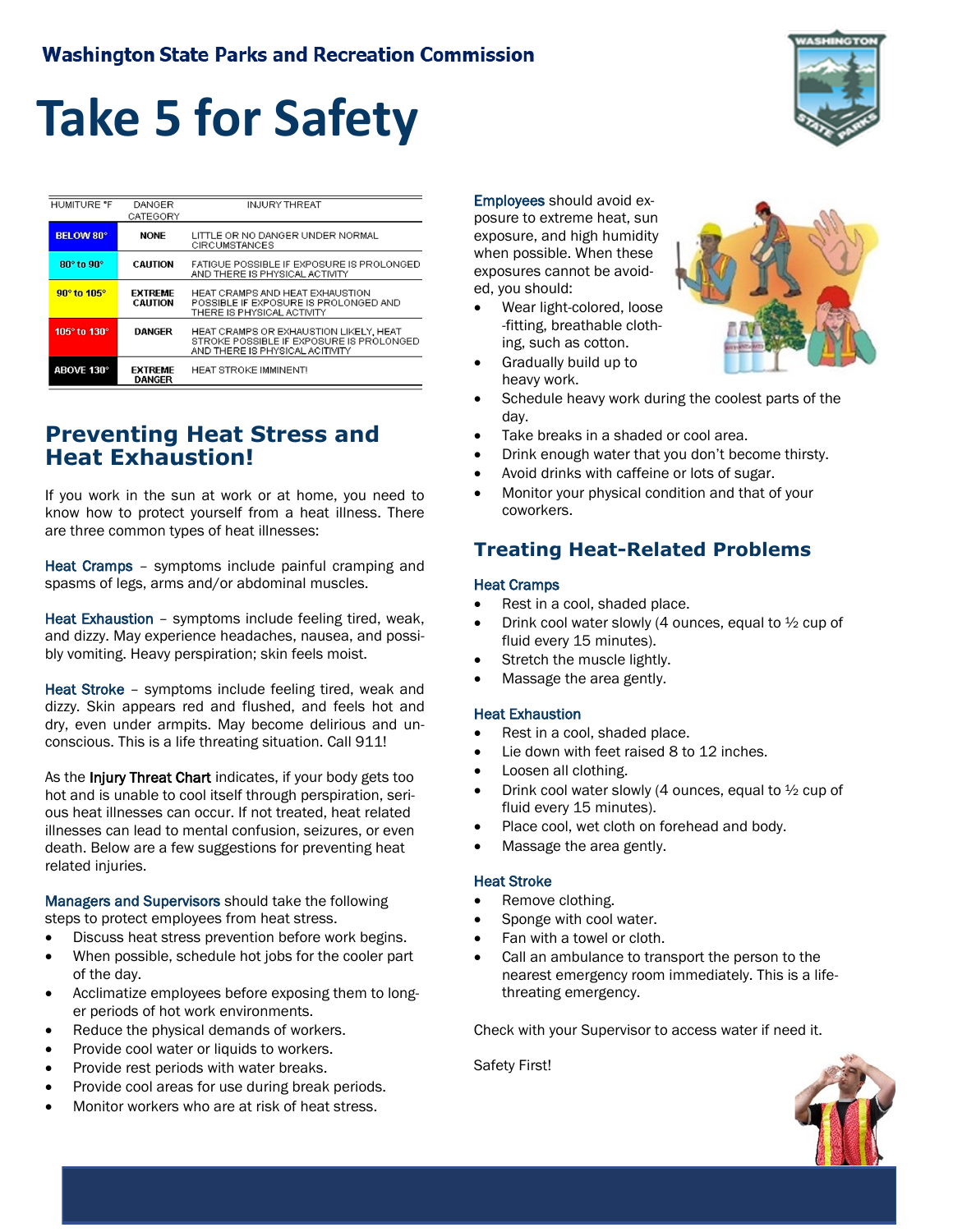# **Take 5 for Safety**

| <b>HUMITURE "F</b> | DANGER<br>CATEGORY               | <b>INJURY THREAT</b>                                                                                                  |
|--------------------|----------------------------------|-----------------------------------------------------------------------------------------------------------------------|
| <b>BELOW 80°</b>   | <b>NONE</b>                      | LITTLE OR NO DANGER UNDER NORMAL<br><b>CIRCUMSTANCES</b>                                                              |
| 80° to 90°         | <b>CALITION</b>                  | FATIGUE POSSIBLE IF EXPOSURE IS PROLONGED<br>AND THERE IS PHYSICAL ACTIVITY                                           |
| 90° to 105°        | <b>EXTREME</b><br><b>CAUTION</b> | HEAT CRAMPS AND HEAT EXHAUSTION<br>POSSIBLE IF EXPOSURE IS PROLONGED AND<br>THERE IS PHYSICAL ACTIVITY                |
| 105° to 130°       | <b>DANGER</b>                    | HEAT CRAMPS OR EXHAUSTION LIKELY, HEAT<br>STROKE POSSIBLE IF EXPOSURE IS PROLONGED<br>AND THERE IS PHYSICAL ACITIVITY |
| ABOVE 130°         | <b>EXTREME</b><br><b>DANGER</b>  | <b>HEAT STROKE IMMINENTI</b>                                                                                          |

# **Preventing Heat Stress and Heat Exhaustion!**

If you work in the sun at work or at home, you need to know how to protect yourself from a heat illness. There are three common types of heat illnesses:

Heat Cramps - symptoms include painful cramping and spasms of legs, arms and/or abdominal muscles.

Heat Exhaustion – symptoms include feeling tired, weak, and dizzy. May experience headaches, nausea, and possibly vomiting. Heavy perspiration; skin feels moist.

Heat Stroke – symptoms include feeling tired, weak and dizzy. Skin appears red and flushed, and feels hot and dry, even under armpits. May become delirious and unconscious. This is a life threating situation. Call 911!

As the Injury Threat Chart indicates, if your body gets too hot and is unable to cool itself through perspiration, serious heat illnesses can occur. If not treated, heat related illnesses can lead to mental confusion, seizures, or even death. Below are a few suggestions for preventing heat related injuries.

Managers and Supervisors should take the following steps to protect employees from heat stress.

- Discuss heat stress prevention before work begins.
- When possible, schedule hot jobs for the cooler part of the day.
- Acclimatize employees before exposing them to longer periods of hot work environments.
- Reduce the physical demands of workers.
- Provide cool water or liquids to workers.
- Provide rest periods with water breaks.
- Provide cool areas for use during break periods.
- Monitor workers who are at risk of heat stress.

Employees should avoid exposure to extreme heat, sun exposure, and high humidity when possible. When these exposures cannot be avoided, you should:

• Wear light-colored, loose -fitting, breathable clothing, such as cotton.



- Gradually build up to heavy work.
- Schedule heavy work during the coolest parts of the day.
- Take breaks in a shaded or cool area.
- Drink enough water that you don't become thirsty.
- Avoid drinks with caffeine or lots of sugar.
- Monitor your physical condition and that of your coworkers.

## **Treating Heat-Related Problems**

### Heat Cramps

- Rest in a cool, shaded place.
- Drink cool water slowly (4 ounces, equal to ½ cup of fluid every 15 minutes).
- Stretch the muscle lightly.
- Massage the area gently.

### Heat Exhaustion

- Rest in a cool, shaded place.
- Lie down with feet raised 8 to 12 inches.
- Loosen all clothing.
- Drink cool water slowly (4 ounces, equal to  $\frac{1}{2}$  cup of fluid every 15 minutes).
- Place cool, wet cloth on forehead and body.
- Massage the area gently.

### Heat Stroke

- Remove clothing.
- Sponge with cool water.
- Fan with a towel or cloth.
- Call an ambulance to transport the person to the nearest emergency room immediately. This is a lifethreating emergency.

Check with your Supervisor to access water if need it.

Safety First!



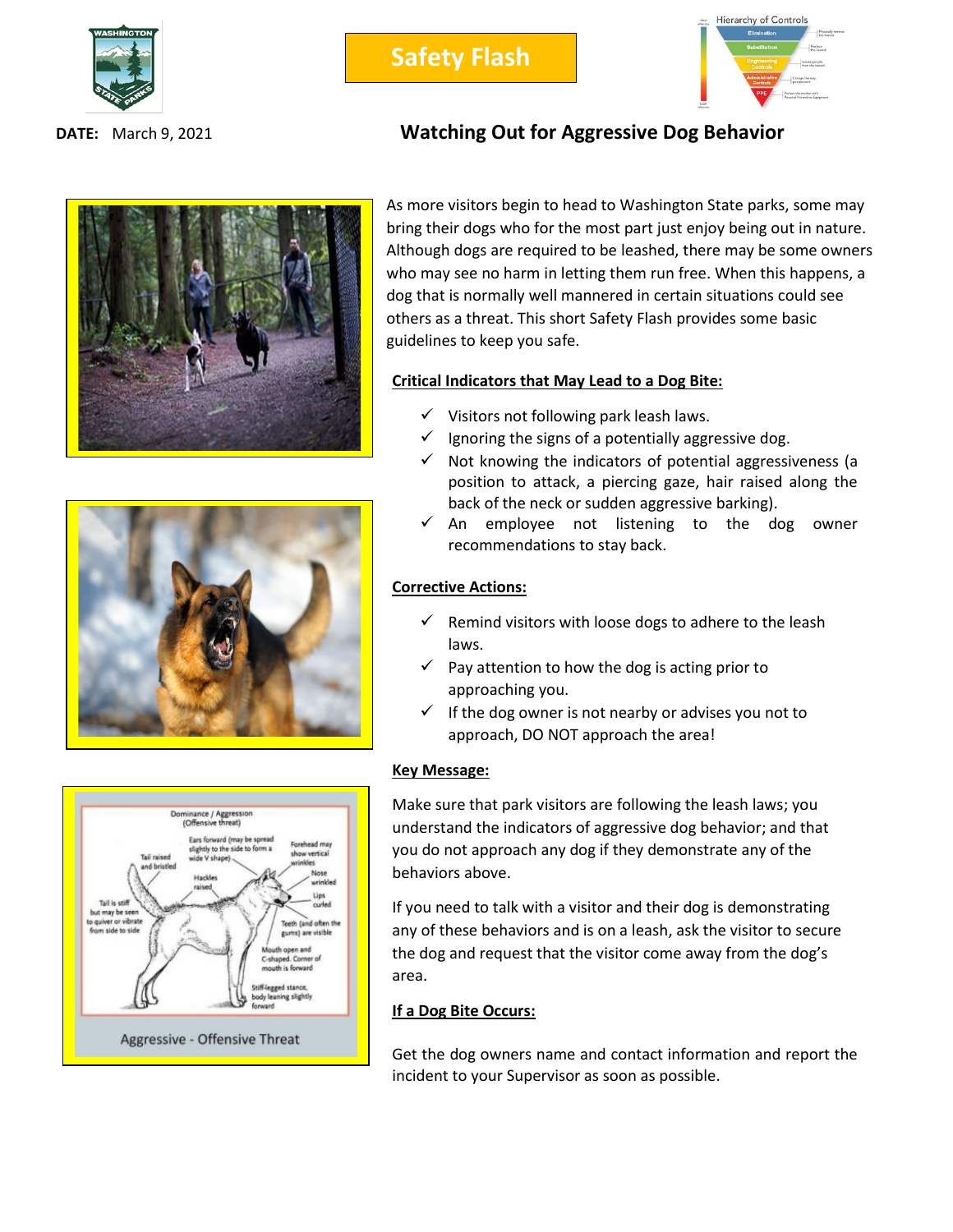



## **DATE:** March 9, 2021 **Watching Out for Aggressive Dog Behavior**







As more visitors begin to head to Washington State parks, some may bring their dogs who for the most part just enjoy being out in nature. Although dogs are required to be leashed, there may be some owners who may see no harm in letting them run free. When this happens, a dog that is normally well mannered in certain situations could see others as a threat. This short Safety Flash provides some basic guidelines to keep you safe.

### **Critical Indicators that May Lead to a Dog Bite:**

- ✓ Visitors not following park leash laws.
- $\checkmark$  Ignoring the signs of a potentially aggressive dog.
- $\checkmark$  Not knowing the indicators of potential aggressiveness (a position to attack, a piercing gaze, hair raised along the back of the neck or sudden aggressive barking).
- ✓ An employee not listening to the dog owner recommendations to stay back.

### **Corrective Actions:**

- $\checkmark$  Remind visitors with loose dogs to adhere to the leash laws.
- $\checkmark$  Pay attention to how the dog is acting prior to approaching you.
- $\checkmark$  If the dog owner is not nearby or advises you not to approach, DO NOT approach the area!

### **Key Message:**

Make sure that park visitors are following the leash laws; you understand the indicators of aggressive dog behavior; and that you do not approach any dog if they demonstrate any of the behaviors above.

If you need to talk with a visitor and their dog is demonstrating any of these behaviors and is on a leash, ask the visitor to secure the dog and request that the visitor come away from the dog's area.

### **If a Dog Bite Occurs:**

Get the dog owners name and contact information and report the incident to your Supervisor as soon as possible.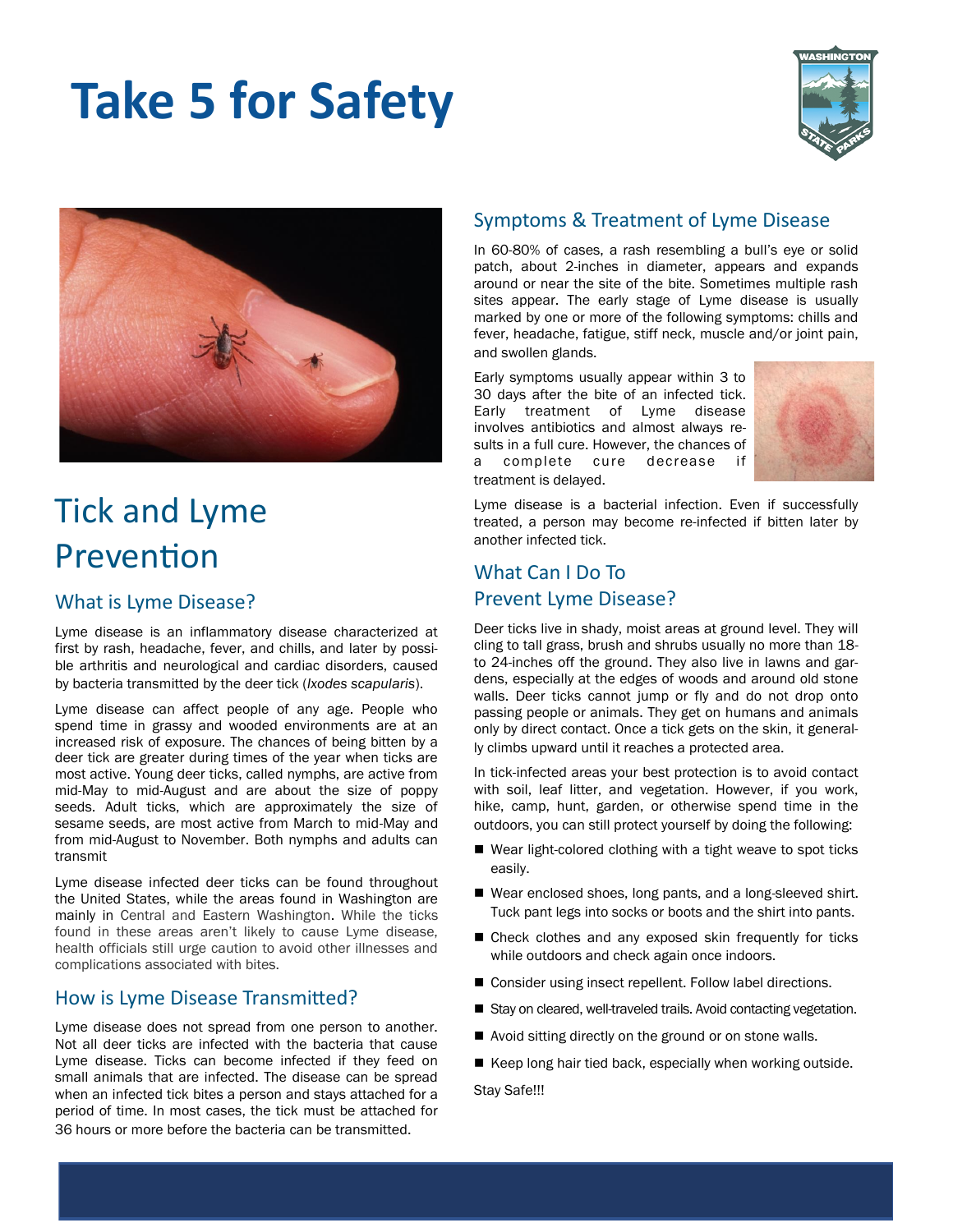# **Take 5 for Safety**





# Tick and Lyme Prevention

### What is Lyme Disease?

Lyme disease is an inflammatory disease characterized at first by rash, headache, fever, and chills, and later by possible arthritis and neurological and cardiac disorders, caused by bacteria transmitted by the deer tick (*Ixodes scapularis*).

Lyme disease can affect people of any age. People who spend time in grassy and wooded environments are at an increased risk of exposure. The chances of being bitten by a deer tick are greater during times of the year when ticks are most active. Young deer ticks, called nymphs, are active from mid-May to mid-August and are about the size of poppy seeds. Adult ticks, which are approximately the size of sesame seeds, are most active from March to mid-May and from mid-August to November. Both nymphs and adults can transmit

Lyme disease infected deer ticks can be found throughout the United States, while the areas found in Washington are mainly in Central and Eastern Washington. While the ticks found in these areas aren't likely to cause Lyme disease, health officials still urge caution to avoid other illnesses and complications associated with bites.

### How is Lyme Disease Transmitted?

Lyme disease does not spread from one person to another. Not all deer ticks are infected with the bacteria that cause Lyme disease. Ticks can become infected if they feed on small animals that are infected. The disease can be spread when an infected tick bites a person and stays attached for a period of time. In most cases, the tick must be attached for 36 hours or more before the bacteria can be transmitted.

## Symptoms & Treatment of Lyme Disease

In 60-80% of cases, a rash resembling a bull's eye or solid patch, about 2-inches in diameter, appears and expands around or near the site of the bite. Sometimes multiple rash sites appear. The early stage of Lyme disease is usually marked by one or more of the following symptoms: chills and fever, headache, fatigue, stiff neck, muscle and/or joint pain, and swollen glands.

Early symptoms usually appear within 3 to 30 days after the bite of an infected tick. Early treatment of Lyme disease involves antibiotics and almost always results in a full cure. However, the chances of a complete cure decrease if treatment is delayed.



Lyme disease is a bacterial infection. Even if successfully treated, a person may become re-infected if bitten later by another infected tick.

# What Can I Do To Prevent Lyme Disease?

Deer ticks live in shady, moist areas at ground level. They will cling to tall grass, brush and shrubs usually no more than 18 to 24-inches off the ground. They also live in lawns and gardens, especially at the edges of woods and around old stone walls. Deer ticks cannot jump or fly and do not drop onto passing people or animals. They get on humans and animals only by direct contact. Once a tick gets on the skin, it generally climbs upward until it reaches a protected area.

In tick-infected areas your best protection is to avoid contact with soil, leaf litter, and vegetation. However, if you work, hike, camp, hunt, garden, or otherwise spend time in the outdoors, you can still protect yourself by doing the following:

- Wear light-colored clothing with a tight weave to spot ticks easily.
- Wear enclosed shoes, long pants, and a long-sleeved shirt. Tuck pant legs into socks or boots and the shirt into pants.
- Check clothes and any exposed skin frequently for ticks while outdoors and check again once indoors.
- Consider using insect repellent. Follow label directions.
- Stay on cleared, well-traveled trails. Avoid contacting vegetation.
- Avoid sitting directly on the ground or on stone walls.
- Keep long hair tied back, especially when working outside.

Stay Safe!!!